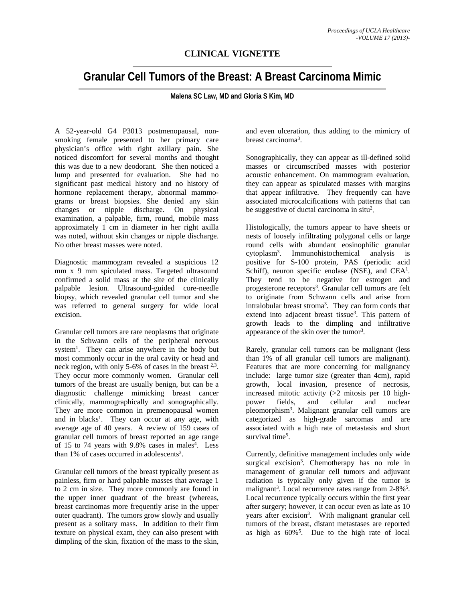## **CLINICAL VIGNETTE**

## **Granular Cell Tumors of the Breast: A Breast Carcinoma Mimic**

**Malena SC Law, MD and Gloria S Kim, MD** 

A 52-year-old G4 P3013 postmenopausal, nonsmoking female presented to her primary care physician's office with right axillary pain. She noticed discomfort for several months and thought this was due to a new deodorant. She then noticed a lump and presented for evaluation. She had no significant past medical history and no history of hormone replacement therapy, abnormal mammograms or breast biopsies. She denied any skin changes or nipple discharge. On physical examination, a palpable, firm, round, mobile mass approximately 1 cm in diameter in her right axilla was noted, without skin changes or nipple discharge. No other breast masses were noted.

Diagnostic mammogram revealed a suspicious 12 mm x 9 mm spiculated mass. Targeted ultrasound confirmed a solid mass at the site of the clinically palpable lesion. Ultrasound-guided core-needle biopsy, which revealed granular cell tumor and she was referred to general surgery for wide local excision.

Granular cell tumors are rare neoplasms that originate in the Schwann cells of the peripheral nervous system<sup>1</sup>. They can arise anywhere in the body but most commonly occur in the oral cavity or head and neck region, with only 5-6% of cases in the breast  $2,3$ . They occur more commonly women. Granular cell tumors of the breast are usually benign, but can be a diagnostic challenge mimicking breast cancer clinically, mammographically and sonographically. They are more common in premenopausal women and in blacks<sup>1</sup>. They can occur at any age, with average age of 40 years. A review of 159 cases of granular cell tumors of breast reported an age range of 15 to 74 years with 9.8% cases in males<sup>4</sup>. Less than  $1\%$  of cases occurred in adolescents<sup>3</sup>.

Granular cell tumors of the breast typically present as painless, firm or hard palpable masses that average 1 to 2 cm in size. They more commonly are found in the upper inner quadrant of the breast (whereas, breast carcinomas more frequently arise in the upper outer quadrant). The tumors grow slowly and usually present as a solitary mass. In addition to their firm texture on physical exam, they can also present with dimpling of the skin, fixation of the mass to the skin,

and even ulceration, thus adding to the mimicry of breast carcinoma<sup>3</sup>.

Sonographically, they can appear as ill-defined solid masses or circumscribed masses with posterior acoustic enhancement. On mammogram evaluation, they can appear as spiculated masses with margins that appear infiltrative. They frequently can have associated microcalcifications with patterns that can be suggestive of ductal carcinoma in situ<sup>2</sup>.

Histologically, the tumors appear to have sheets or nests of loosely infiltrating polygonal cells or large round cells with abundant eosinophilic granular<br>cytoplasm<sup>3</sup>. Immunohistochemical analysis is  $cytoplasm<sup>3</sup>$ . . Immunohistochemical analysis is positive for S-100 protein, PAS (periodic acid Schiff), neuron specific enolase (NSE), and CEA<sup>1</sup>. They tend to be negative for estrogen and progesterone receptors<sup>3</sup>. Granular cell tumors are felt to originate from Schwann cells and arise from intralobular breast stroma<sup>3</sup>. They can form cords that extend into adjacent breast tissue<sup>3</sup>. This pattern of growth leads to the dimpling and infiltrative appearance of the skin over the tumor<sup>3</sup>.

Rarely, granular cell tumors can be malignant (less than 1% of all granular cell tumors are malignant). Features that are more concerning for malignancy include: large tumor size (greater than 4cm), rapid growth, local invasion, presence of necrosis, increased mitotic activity (>2 mitosis per 10 high-<br>power fields, and cellular and nuclear fields, and cellular and nuclear pleomorphism3 . Malignant granular cell tumors are categorized as high-grade sarcomas and are associated with a high rate of metastasis and short survival time<sup>5</sup>.

Currently, definitive management includes only wide surgical excision<sup>3</sup>. Chemotherapy has no role in management of granular cell tumors and adjuvant radiation is typically only given if the tumor is malignant<sup>3</sup>. Local recurrence rates range from  $2-8\%$ <sup>5</sup>. Local recurrence typically occurs within the first year after surgery; however, it can occur even as late as 10 years after excision<sup>3</sup>. With malignant granular cell tumors of the breast, distant metastases are reported as high as  $60\%$ <sup>5</sup>. Due to the high rate of local